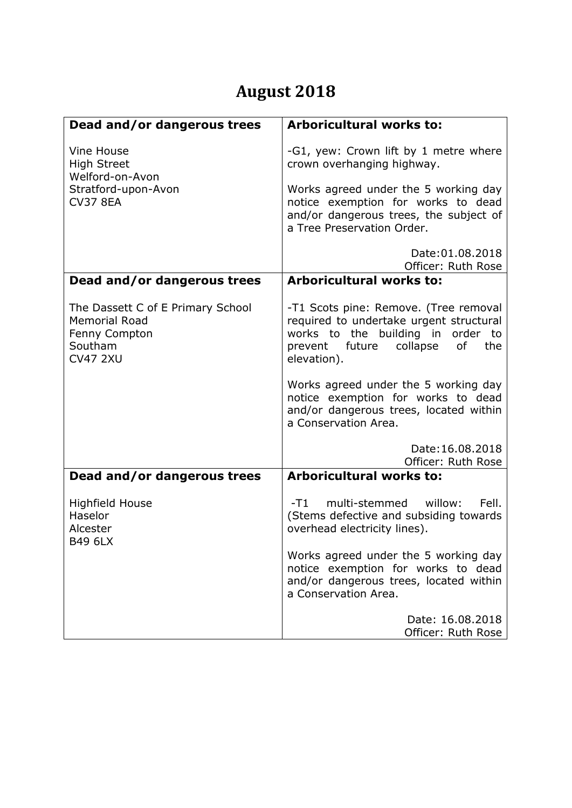## **August 2018**

| Dead and/or dangerous trees                                                                              | <b>Arboricultural works to:</b>                                                                                                                                                             |
|----------------------------------------------------------------------------------------------------------|---------------------------------------------------------------------------------------------------------------------------------------------------------------------------------------------|
| Vine House<br><b>High Street</b><br>Welford-on-Avon<br>Stratford-upon-Avon<br><b>CV37 8EA</b>            | -G1, yew: Crown lift by 1 metre where<br>crown overhanging highway.<br>Works agreed under the 5 working day<br>notice exemption for works to dead<br>and/or dangerous trees, the subject of |
|                                                                                                          | a Tree Preservation Order.                                                                                                                                                                  |
|                                                                                                          | Date: 01.08.2018<br>Officer: Ruth Rose                                                                                                                                                      |
| Dead and/or dangerous trees                                                                              | <b>Arboricultural works to:</b>                                                                                                                                                             |
| The Dassett C of E Primary School<br><b>Memorial Road</b><br>Fenny Compton<br>Southam<br><b>CV47 2XU</b> | -T1 Scots pine: Remove. (Tree removal<br>required to undertake urgent structural<br>works to the building in order to<br>prevent future<br>collapse<br>of<br>the<br>elevation).             |
|                                                                                                          | Works agreed under the 5 working day<br>notice exemption for works to dead<br>and/or dangerous trees, located within<br>a Conservation Area.                                                |
|                                                                                                          | Date: 16.08.2018<br>Officer: Ruth Rose                                                                                                                                                      |
| Dead and/or dangerous trees                                                                              | <b>Arboricultural works to:</b>                                                                                                                                                             |
| <b>Highfield House</b><br>Haselor<br>Alcester<br><b>B49 6LX</b>                                          | multi-stemmed willow:<br>Fell.<br>-T1 -<br>(Stems defective and subsiding towards<br>overhead electricity lines).                                                                           |
|                                                                                                          | Works agreed under the 5 working day<br>notice exemption for works to dead<br>and/or dangerous trees, located within<br>a Conservation Area.                                                |
|                                                                                                          | Date: 16.08.2018<br>Officer: Ruth Rose                                                                                                                                                      |